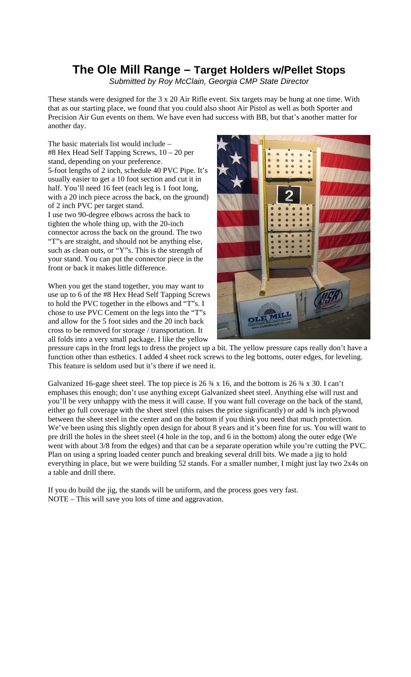## **The Ole Mill Range – Target Holders w/Pellet Stops**

*Submitted by Roy McClain, Georgia CMP State Director* 

These stands were designed for the 3 x 20 Air Rifle event. Six targets may be hung at one time. With that as our starting place, we found that you could also shoot Air Pistol as well as both Sporter and Precision Air Gun events on them. We have even had success with BB, but that's another matter for another day.

The basic materials list would include – #8 Hex Head Self Tapping Screws, 10 – 20 per stand, depending on your preference. 5-foot lengths of 2 inch, schedule 40 PVC Pipe. It's usually easier to get a 10 foot section and cut it in half. You'll need 16 feet (each leg is 1 foot long, with a 20 inch piece across the back, on the ground) of 2 inch PVC per target stand. I use two 90-degree elbows across the back to tighten the whole thing up, with the 20-inch connector across the back on the ground. The two "T"s are straight, and should not be anything else, such as clean outs, or "Y"s. This is the strength of your stand. You can put the connector piece in the front or back it makes little difference.

When you get the stand together, you may want to use up to 6 of the #8 Hex Head Self Tapping Screws to hold the PVC together in the elbows and "T"s. I chose to use PVC Cement on the legs into the "T"s and allow for the 5 foot sides and the 20 inch back cross to be removed for storage / transportation. It all folds into a very small package. I like the yellow



pressure caps in the front legs to dress the project up a bit. The yellow pressure caps really don't have a function other than esthetics. I added 4 sheet rock screws to the leg bottoms, outer edges, for leveling. This feature is seldom used but it's there if we need it.

Galvanized 16-gage sheet steel. The top piece is 26  $\frac{3}{4}$  x 16, and the bottom is 26  $\frac{3}{4}$  x 30. I can't emphases this enough; don't use anything except Galvanized sheet steel. Anything else will rust and you'll be very unhappy with the mess it will cause. If you want full coverage on the back of the stand, either go full coverage with the sheet steel (this raises the price significantly) or add ¾ inch plywood between the sheet steel in the center and on the bottom if you think you need that much protection. We've been using this slightly open design for about 8 years and it's been fine for us. You will want to pre drill the holes in the sheet steel (4 hole in the top, and 6 in the bottom) along the outer edge (We went with about 3/8 from the edges) and that can be a separate operation while you're cutting the PVC. Plan on using a spring loaded center punch and breaking several drill bits. We made a jig to hold everything in place, but we were building 52 stands. For a smaller number, I might just lay two 2x4s on a table and drill there.

If you do build the jig, the stands will be uniform, and the process goes very fast. NOTE – This will save you lots of time and aggravation.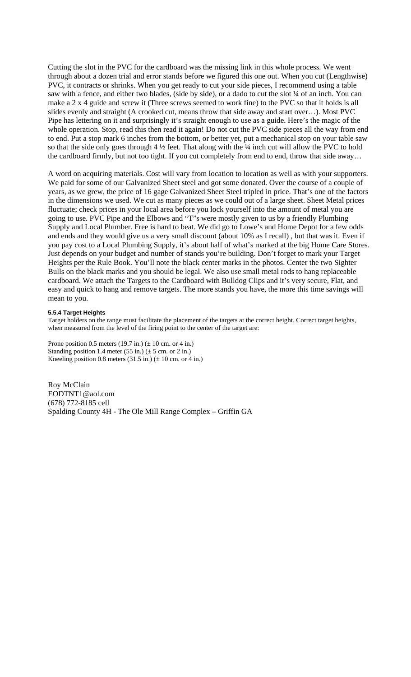Cutting the slot in the PVC for the cardboard was the missing link in this whole process. We went through about a dozen trial and error stands before we figured this one out. When you cut (Lengthwise) PVC, it contracts or shrinks. When you get ready to cut your side pieces, I recommend using a table saw with a fence, and either two blades, (side by side), or a dado to cut the slot  $\frac{1}{4}$  of an inch. You can make a 2 x 4 guide and screw it (Three screws seemed to work fine) to the PVC so that it holds is all slides evenly and straight (A crooked cut, means throw that side away and start over…). Most PVC Pipe has lettering on it and surprisingly it's straight enough to use as a guide. Here's the magic of the whole operation. Stop, read this then read it again! Do not cut the PVC side pieces all the way from end to end. Put a stop mark 6 inches from the bottom, or better yet, put a mechanical stop on your table saw so that the side only goes through  $4\frac{1}{2}$  feet. That along with the  $\frac{1}{4}$  inch cut will allow the PVC to hold the cardboard firmly, but not too tight. If you cut completely from end to end, throw that side away…

A word on acquiring materials. Cost will vary from location to location as well as with your supporters. We paid for some of our Galvanized Sheet steel and got some donated. Over the course of a couple of years, as we grew, the price of 16 gage Galvanized Sheet Steel tripled in price. That's one of the factors in the dimensions we used. We cut as many pieces as we could out of a large sheet. Sheet Metal prices fluctuate; check prices in your local area before you lock yourself into the amount of metal you are going to use. PVC Pipe and the Elbows and "T"s were mostly given to us by a friendly Plumbing Supply and Local Plumber. Free is hard to beat. We did go to Lowe's and Home Depot for a few odds and ends and they would give us a very small discount (about 10% as I recall) , but that was it. Even if you pay cost to a Local Plumbing Supply, it's about half of what's marked at the big Home Care Stores. Just depends on your budget and number of stands you're building. Don't forget to mark your Target Heights per the Rule Book. You'll note the black center marks in the photos. Center the two Sighter Bulls on the black marks and you should be legal. We also use small metal rods to hang replaceable cardboard. We attach the Targets to the Cardboard with Bulldog Clips and it's very secure, Flat, and easy and quick to hang and remove targets. The more stands you have, the more this time savings will mean to you.

## **5.5.4 Target Heights**

Target holders on the range must facilitate the placement of the targets at the correct height. Correct target heights, when measured from the level of the firing point to the center of the target are:

Prone position 0.5 meters (19.7 in.) ( $\pm$  10 cm. or 4 in.) Standing position 1.4 meter (55 in.) ( $\pm$  5 cm. or 2 in.) Kneeling position 0.8 meters (31.5 in.) ( $\pm$  10 cm. or 4 in.)

Roy McClain EODTNT1@aol.com (678) 772-8185 cell Spalding County 4H - The Ole Mill Range Complex – Griffin GA